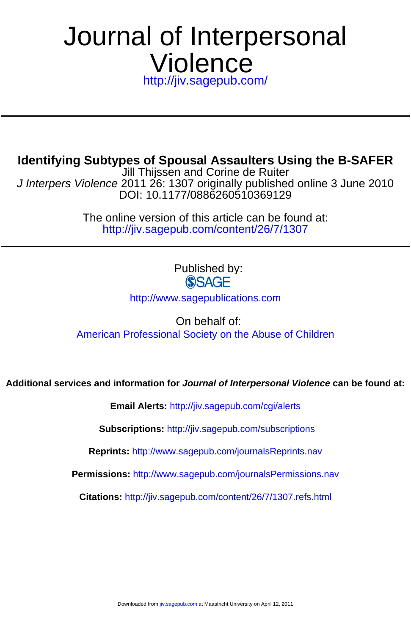# <http://jiv.sagepub.com/> Violence Journal of Interpersonal

# **Identifying Subtypes of Spousal Assaulters Using the B-SAFER**

DOI: 10.1177/0886260510369129 J Interpers Violence 2011 26: 1307 originally published online 3 June 2010 Jill Thijssen and Corine de Ruiter

> <http://jiv.sagepub.com/content/26/7/1307> The online version of this article can be found at:

> > Published by:<br>
> > SAGE

<http://www.sagepublications.com>

On behalf of: [American Professional Society on the Abuse of Children](http://www.apsac.org)

# **Additional services and information for Journal of Interpersonal Violence can be found at:**

**Email Alerts:** <http://jiv.sagepub.com/cgi/alerts>

**Subscriptions:** <http://jiv.sagepub.com/subscriptions>

**Reprints:** <http://www.sagepub.com/journalsReprints.nav>

**Permissions:** <http://www.sagepub.com/journalsPermissions.nav>

**Citations:** <http://jiv.sagepub.com/content/26/7/1307.refs.html>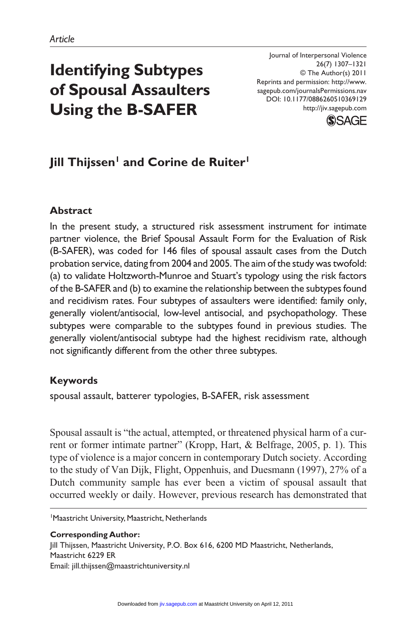# **Identifying Subtypes of Spousal Assaulters Using the B-SAFER**

Journal of Interpersonal Violence 26(7) 1307–1321 © The Author(s) 2011 Reprints and permission: http://www. sagepub.com/journalsPermissions.nav DOI: 10.1177/0886260510369129 http://jiv.sagepub.com



# **Jill Thijssen<sup>l</sup> and Corine de Ruiter<sup>l</sup>**

# **Abstract**

In the present study, a structured risk assessment instrument for intimate partner violence, the Brief Spousal Assault Form for the Evaluation of Risk (B-SAFER), was coded for 146 files of spousal assault cases from the Dutch probation service, dating from 2004 and 2005. The aim of the study was twofold: (a) to validate Holtzworth-Munroe and Stuart's typology using the risk factors of the B-SAFER and (b) to examine the relationship between the subtypes found and recidivism rates. Four subtypes of assaulters were identified: family only, generally violent/antisocial, low-level antisocial, and psychopathology. These subtypes were comparable to the subtypes found in previous studies. The generally violent/antisocial subtype had the highest recidivism rate, although not significantly different from the other three subtypes.

## **Keywords**

spousal assault, batterer typologies, B-SAFER, risk assessment

Spousal assault is "the actual, attempted, or threatened physical harm of a current or former intimate partner" (Kropp, Hart, & Belfrage, 2005, p. 1). This type of violence is a major concern in contemporary Dutch society. According to the study of Van Dijk, Flight, Oppenhuis, and Duesmann (1997), 27% of a Dutch community sample has ever been a victim of spousal assault that occurred weekly or daily. However, previous research has demonstrated that

1 Maastricht University, Maastricht, Netherlands

**Corresponding Author:** Jill Thijssen, Maastricht University, P.O. Box 616, 6200 MD Maastricht, Netherlands, Maastricht 6229 ER Email: jill.thijssen@maastrichtuniversity.nl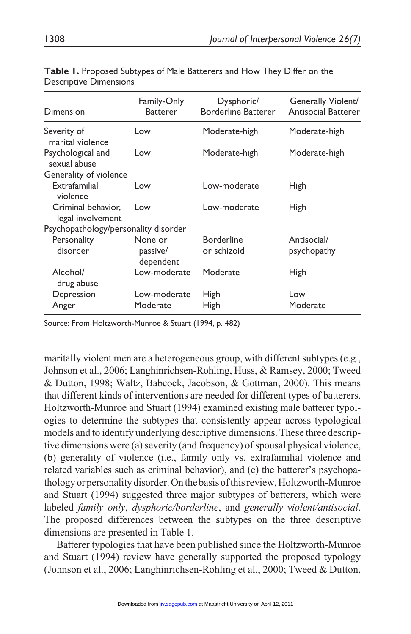| Dimension                               | Family-Only<br><b>Batterer</b>   | Dysphoric/<br><b>Borderline Batterer</b> | Generally Violent/<br><b>Antisocial Batterer</b> |
|-----------------------------------------|----------------------------------|------------------------------------------|--------------------------------------------------|
| Severity of<br>marital violence         | Low                              | Moderate-high                            | Moderate-high                                    |
| Psychological and<br>sexual abuse       | Low                              | Moderate-high                            | Moderate-high                                    |
| Generality of violence                  |                                  |                                          |                                                  |
| Extrafamilial<br>violence               | Low                              | Low-moderate                             | High                                             |
| Criminal behavior,<br>legal involvement | Low                              | Low-moderate                             | High                                             |
| Psychopathology/personality disorder    |                                  |                                          |                                                  |
| Personality<br>disorder                 | None or<br>passive/<br>dependent | <b>Borderline</b><br>or schizoid         | Antisocial/<br>psychopathy                       |
| Alcohol/<br>drug abuse                  | Low-moderate                     | Moderate                                 | High                                             |
| Depression                              | Low-moderate                     | High                                     | Low                                              |
| Anger                                   | Moderate                         | High                                     | Moderate                                         |

| Table 1. Proposed Subtypes of Male Batterers and How They Differ on the |  |  |  |
|-------------------------------------------------------------------------|--|--|--|
| Descriptive Dimensions                                                  |  |  |  |

Source: From Holtzworth-Munroe & Stuart (1994, p. 482)

maritally violent men are a heterogeneous group, with different subtypes (e.g., Johnson et al., 2006; Langhinrichsen-Rohling, Huss, & Ramsey, 2000; Tweed & Dutton, 1998; Waltz, Babcock, Jacobson, & Gottman, 2000). This means that different kinds of interventions are needed for different types of batterers. Holtzworth-Munroe and Stuart (1994) examined existing male batterer typologies to determine the subtypes that consistently appear across typological models and to identify underlying descriptive dimensions. These three descriptive dimensions were (a) severity (and frequency) of spousal physical violence, (b) generality of violence (i.e., family only vs. extrafamilial violence and related variables such as criminal behavior), and (c) the batterer's psychopathology or personality disorder. On the basis of this review, Holtzworth-Munroe and Stuart (1994) suggested three major subtypes of batterers, which were labeled *family only*, *dysphoric/borderline*, and *generally violent/antisocial*. The proposed differences between the subtypes on the three descriptive dimensions are presented in Table 1.

Batterer typologies that have been published since the Holtzworth-Munroe and Stuart (1994) review have generally supported the proposed typology (Johnson et al., 2006; Langhinrichsen-Rohling et al., 2000; Tweed & Dutton,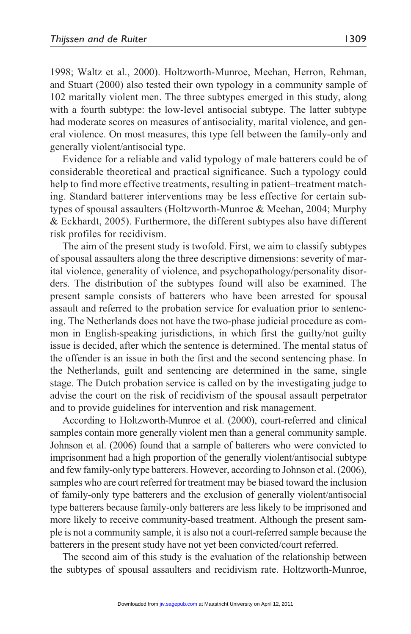1998; Waltz et al., 2000). Holtzworth-Munroe, Meehan, Herron, Rehman, and Stuart (2000) also tested their own typology in a community sample of 102 maritally violent men. The three subtypes emerged in this study, along with a fourth subtype: the low-level antisocial subtype. The latter subtype had moderate scores on measures of antisociality, marital violence, and general violence. On most measures, this type fell between the family-only and generally violent/antisocial type.

Evidence for a reliable and valid typology of male batterers could be of considerable theoretical and practical significance. Such a typology could help to find more effective treatments, resulting in patient–treatment matching. Standard batterer interventions may be less effective for certain subtypes of spousal assaulters (Holtzworth-Munroe & Meehan, 2004; Murphy & Eckhardt, 2005). Furthermore, the different subtypes also have different risk profiles for recidivism.

The aim of the present study is twofold. First, we aim to classify subtypes of spousal assaulters along the three descriptive dimensions: severity of marital violence, generality of violence, and psychopathology/personality disorders. The distribution of the subtypes found will also be examined. The present sample consists of batterers who have been arrested for spousal assault and referred to the probation service for evaluation prior to sentencing. The Netherlands does not have the two-phase judicial procedure as common in English-speaking jurisdictions, in which first the guilty/not guilty issue is decided, after which the sentence is determined. The mental status of the offender is an issue in both the first and the second sentencing phase. In the Netherlands, guilt and sentencing are determined in the same, single stage. The Dutch probation service is called on by the investigating judge to advise the court on the risk of recidivism of the spousal assault perpetrator and to provide guidelines for intervention and risk management.

According to Holtzworth-Munroe et al. (2000), court-referred and clinical samples contain more generally violent men than a general community sample. Johnson et al. (2006) found that a sample of batterers who were convicted to imprisonment had a high proportion of the generally violent/antisocial subtype and few family-only type batterers. However, according to Johnson et al. (2006), samples who are court referred for treatment may be biased toward the inclusion of family-only type batterers and the exclusion of generally violent/antisocial type batterers because family-only batterers are less likely to be imprisoned and more likely to receive community-based treatment. Although the present sample is not a community sample, it is also not a court-referred sample because the batterers in the present study have not yet been convicted/court referred.

The second aim of this study is the evaluation of the relationship between the subtypes of spousal assaulters and recidivism rate. Holtzworth-Munroe,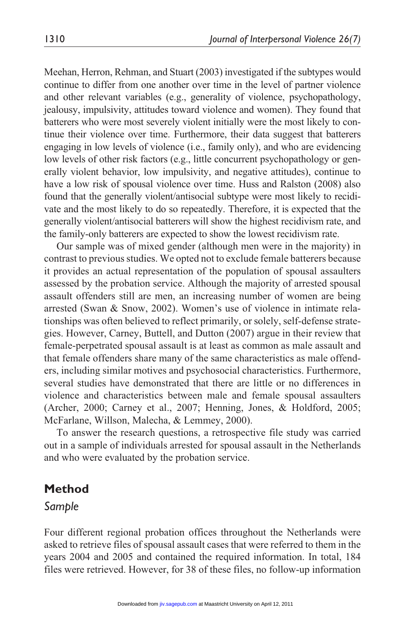Meehan, Herron, Rehman, and Stuart (2003) investigated if the subtypes would continue to differ from one another over time in the level of partner violence and other relevant variables (e.g., generality of violence, psychopathology, jealousy, impulsivity, attitudes toward violence and women). They found that batterers who were most severely violent initially were the most likely to continue their violence over time. Furthermore, their data suggest that batterers engaging in low levels of violence (i.e., family only), and who are evidencing low levels of other risk factors (e.g., little concurrent psychopathology or generally violent behavior, low impulsivity, and negative attitudes), continue to have a low risk of spousal violence over time. Huss and Ralston (2008) also found that the generally violent/antisocial subtype were most likely to recidivate and the most likely to do so repeatedly. Therefore, it is expected that the generally violent/antisocial batterers will show the highest recidivism rate, and the family-only batterers are expected to show the lowest recidivism rate.

Our sample was of mixed gender (although men were in the majority) in contrast to previous studies. We opted not to exclude female batterers because it provides an actual representation of the population of spousal assaulters assessed by the probation service. Although the majority of arrested spousal assault offenders still are men, an increasing number of women are being arrested (Swan & Snow, 2002). Women's use of violence in intimate relationships was often believed to reflect primarily, or solely, self-defense strategies. However, Carney, Buttell, and Dutton (2007) argue in their review that female-perpetrated spousal assault is at least as common as male assault and that female offenders share many of the same characteristics as male offenders, including similar motives and psychosocial characteristics. Furthermore, several studies have demonstrated that there are little or no differences in violence and characteristics between male and female spousal assaulters (Archer, 2000; Carney et al., 2007; Henning, Jones, & Holdford, 2005; McFarlane, Willson, Malecha, & Lemmey, 2000).

To answer the research questions, a retrospective file study was carried out in a sample of individuals arrested for spousal assault in the Netherlands and who were evaluated by the probation service.

# **Method**

## *Sample*

Four different regional probation offices throughout the Netherlands were asked to retrieve files of spousal assault cases that were referred to them in the years 2004 and 2005 and contained the required information. In total, 184 files were retrieved. However, for 38 of these files, no follow-up information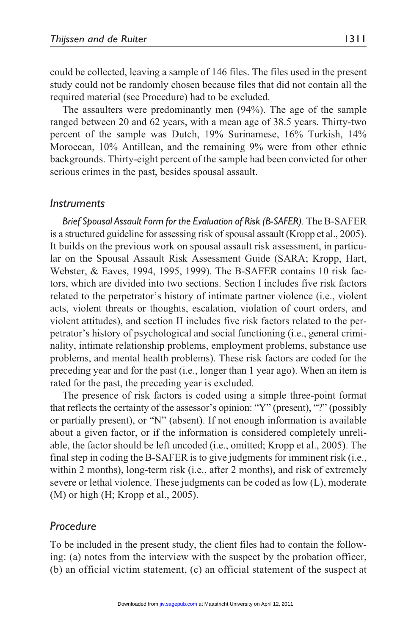could be collected, leaving a sample of 146 files. The files used in the present study could not be randomly chosen because files that did not contain all the required material (see Procedure) had to be excluded.

The assaulters were predominantly men (94%). The age of the sample ranged between 20 and 62 years, with a mean age of 38.5 years. Thirty-two percent of the sample was Dutch, 19% Surinamese, 16% Turkish, 14% Moroccan, 10% Antillean, and the remaining 9% were from other ethnic backgrounds. Thirty-eight percent of the sample had been convicted for other serious crimes in the past, besides spousal assault.

#### *Instruments*

*Brief Spousal Assault Form for the Evaluation of Risk (B-SAFER).* The B-SAFER is a structured guideline for assessing risk of spousal assault (Kropp et al., 2005). It builds on the previous work on spousal assault risk assessment, in particular on the Spousal Assault Risk Assessment Guide (SARA; Kropp, Hart, Webster, & Eaves, 1994, 1995, 1999). The B-SAFER contains 10 risk factors, which are divided into two sections. Section I includes five risk factors related to the perpetrator's history of intimate partner violence (i.e., violent acts, violent threats or thoughts, escalation, violation of court orders, and violent attitudes), and section II includes five risk factors related to the perpetrator's history of psychological and social functioning (i.e., general criminality, intimate relationship problems, employment problems, substance use problems, and mental health problems). These risk factors are coded for the preceding year and for the past (i.e., longer than 1 year ago). When an item is rated for the past, the preceding year is excluded.

The presence of risk factors is coded using a simple three-point format that reflects the certainty of the assessor's opinion: "Y" (present), "?" (possibly or partially present), or "N" (absent). If not enough information is available about a given factor, or if the information is considered completely unreliable, the factor should be left uncoded (i.e., omitted; Kropp et al., 2005). The final step in coding the B-SAFER is to give judgments for imminent risk (i.e., within 2 months), long-term risk (i.e., after 2 months), and risk of extremely severe or lethal violence. These judgments can be coded as low (L), moderate (M) or high (H; Kropp et al., 2005).

### *Procedure*

To be included in the present study, the client files had to contain the following: (a) notes from the interview with the suspect by the probation officer, (b) an official victim statement, (c) an official statement of the suspect at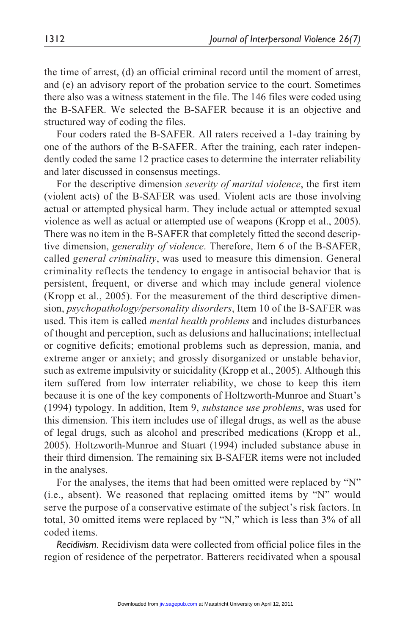the time of arrest, (d) an official criminal record until the moment of arrest, and (e) an advisory report of the probation service to the court. Sometimes there also was a witness statement in the file. The 146 files were coded using the B-SAFER. We selected the B-SAFER because it is an objective and structured way of coding the files.

Four coders rated the B-SAFER. All raters received a 1-day training by one of the authors of the B-SAFER. After the training, each rater independently coded the same 12 practice cases to determine the interrater reliability and later discussed in consensus meetings.

For the descriptive dimension *severity of marital violence*, the first item (violent acts) of the B-SAFER was used. Violent acts are those involving actual or attempted physical harm. They include actual or attempted sexual violence as well as actual or attempted use of weapons (Kropp et al., 2005). There was no item in the B-SAFER that completely fitted the second descriptive dimension, *generality of violence*. Therefore, Item 6 of the B-SAFER, called *general criminality*, was used to measure this dimension. General criminality reflects the tendency to engage in antisocial behavior that is persistent, frequent, or diverse and which may include general violence (Kropp et al., 2005). For the measurement of the third descriptive dimension, *psychopathology/personality disorders*, Item 10 of the B-SAFER was used. This item is called *mental health problems* and includes disturbances of thought and perception, such as delusions and hallucinations; intellectual or cognitive deficits; emotional problems such as depression, mania, and extreme anger or anxiety; and grossly disorganized or unstable behavior, such as extreme impulsivity or suicidality (Kropp et al., 2005). Although this item suffered from low interrater reliability, we chose to keep this item because it is one of the key components of Holtzworth-Munroe and Stuart's (1994) typology. In addition, Item 9, *substance use problems*, was used for this dimension. This item includes use of illegal drugs, as well as the abuse of legal drugs, such as alcohol and prescribed medications (Kropp et al., 2005). Holtzworth-Munroe and Stuart (1994) included substance abuse in their third dimension. The remaining six B-SAFER items were not included in the analyses.

For the analyses, the items that had been omitted were replaced by "N" (i.e., absent). We reasoned that replacing omitted items by "N" would serve the purpose of a conservative estimate of the subject's risk factors. In total, 30 omitted items were replaced by "N," which is less than 3% of all coded items.

*Recidivism.* Recidivism data were collected from official police files in the region of residence of the perpetrator. Batterers recidivated when a spousal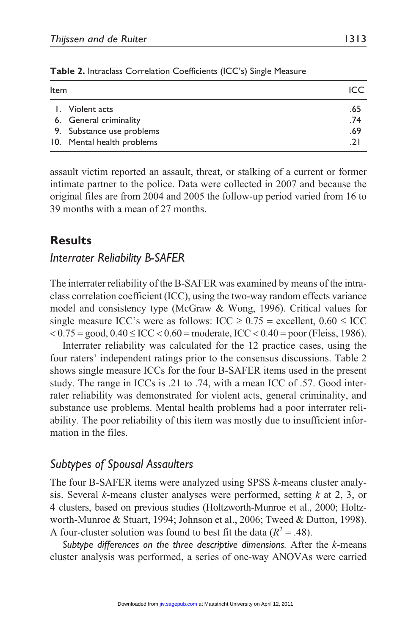| Item |                            | ICC             |
|------|----------------------------|-----------------|
|      | 1. Violent acts            | .65             |
|      | 6. General criminality     | .74             |
|      | 9. Substance use problems  | .69             |
|      | 10. Mental health problems | $\overline{2}1$ |

**Table 2.** Intraclass Correlation Coefficients (ICC's) Single Measure

assault victim reported an assault, threat, or stalking of a current or former intimate partner to the police. Data were collected in 2007 and because the original files are from 2004 and 2005 the follow-up period varied from 16 to 39 months with a mean of 27 months.

# **Results**

## *Interrater Reliability B-SAFER*

The interrater reliability of the B-SAFER was examined by means of the intraclass correlation coefficient (ICC), using the two-way random effects variance model and consistency type (McGraw & Wong, 1996). Critical values for single measure ICC's were as follows: ICC  $\geq 0.75$  = excellent,  $0.60 \leq$  ICC  $< 0.75 = \text{good}, 0.40 \leq ICC < 0.60 = \text{moderate}, ICC < 0.40 = \text{poor}$  (Fleiss, 1986).

Interrater reliability was calculated for the 12 practice cases, using the four raters' independent ratings prior to the consensus discussions. Table 2 shows single measure ICCs for the four B-SAFER items used in the present study. The range in ICCs is .21 to .74, with a mean ICC of .57. Good interrater reliability was demonstrated for violent acts, general criminality, and substance use problems. Mental health problems had a poor interrater reliability. The poor reliability of this item was mostly due to insufficient information in the files.

# *Subtypes of Spousal Assaulters*

The four B-SAFER items were analyzed using SPSS *k*-means cluster analysis. Several *k*-means cluster analyses were performed, setting *k* at 2, 3, or 4 clusters, based on previous studies (Holtzworth-Munroe et al., 2000; Holtzworth-Munroe & Stuart, 1994; Johnson et al., 2006; Tweed & Dutton, 1998). A four-cluster solution was found to best fit the data  $(R^2 = .48)$ .

*Subtype differences on the three descriptive dimensions.* After the *k*-means cluster analysis was performed, a series of one-way ANOVAs were carried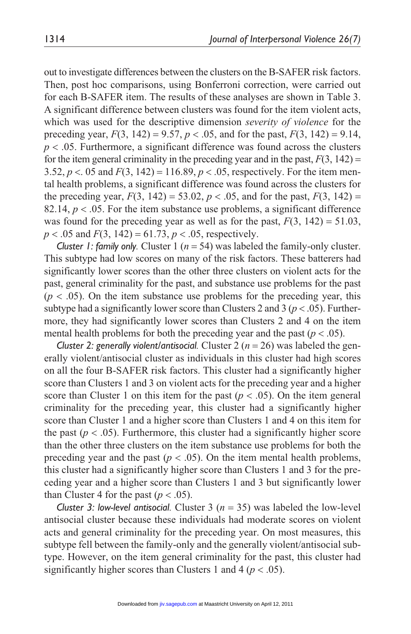out to investigate differences between the clusters on the B-SAFER risk factors. Then, post hoc comparisons, using Bonferroni correction, were carried out for each B-SAFER item. The results of these analyses are shown in Table 3. A significant difference between clusters was found for the item violent acts, which was used for the descriptive dimension *severity of violence* for the preceding year,  $F(3, 142) = 9.57$ ,  $p < .05$ , and for the past,  $F(3, 142) = 9.14$ , *p* < .05. Furthermore, a significant difference was found across the clusters for the item general criminality in the preceding year and in the past,  $F(3, 142) =$ 3.52,  $p < 0.05$  and  $F(3, 142) = 116.89$ ,  $p < 0.05$ , respectively. For the item mental health problems, a significant difference was found across the clusters for the preceding year,  $F(3, 142) = 53.02$ ,  $p < .05$ , and for the past,  $F(3, 142) =$ 82.14,  $p < .05$ . For the item substance use problems, a significant difference was found for the preceding year as well as for the past,  $F(3, 142) = 51.03$ ,  $p < .05$  and  $F(3, 142) = 61.73$ ,  $p < .05$ , respectively.

*Cluster 1: family only.* Cluster 1 ( $n = 54$ ) was labeled the family-only cluster. This subtype had low scores on many of the risk factors. These batterers had significantly lower scores than the other three clusters on violent acts for the past, general criminality for the past, and substance use problems for the past  $(p < .05)$ . On the item substance use problems for the preceding year, this subtype had a significantly lower score than Clusters 2 and 3 ( $p < .05$ ). Furthermore, they had significantly lower scores than Clusters 2 and 4 on the item mental health problems for both the preceding year and the past  $(p < .05)$ .

*Cluster 2: generally violent/antisocial. Cluster 2 (* $n = 26$ *) was labeled the gen*erally violent/antisocial cluster as individuals in this cluster had high scores on all the four B-SAFER risk factors. This cluster had a significantly higher score than Clusters 1 and 3 on violent acts for the preceding year and a higher score than Cluster 1 on this item for the past  $(p < .05)$ . On the item general criminality for the preceding year, this cluster had a significantly higher score than Cluster 1 and a higher score than Clusters 1 and 4 on this item for the past  $(p < .05)$ . Furthermore, this cluster had a significantly higher score than the other three clusters on the item substance use problems for both the preceding year and the past  $(p < .05)$ . On the item mental health problems, this cluster had a significantly higher score than Clusters 1 and 3 for the preceding year and a higher score than Clusters 1 and 3 but significantly lower than Cluster 4 for the past  $(p < .05)$ .

*Cluster 3: low-level antisocial.* Cluster 3 (*n* = 35) was labeled the low-level antisocial cluster because these individuals had moderate scores on violent acts and general criminality for the preceding year. On most measures, this subtype fell between the family-only and the generally violent/antisocial subtype. However, on the item general criminality for the past, this cluster had significantly higher scores than Clusters 1 and 4 ( $p < .05$ ).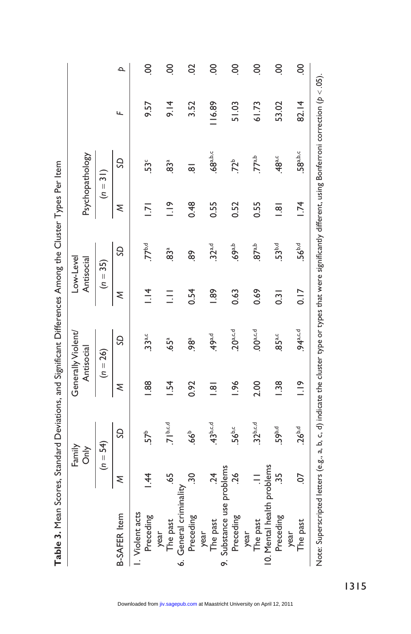|                                           | Family<br>δń   |                   | Generally Violent/<br>Antisocial |                      | Low-Level<br>Antisocial |                   |                | Psychopathology       |        |    |
|-------------------------------------------|----------------|-------------------|----------------------------------|----------------------|-------------------------|-------------------|----------------|-----------------------|--------|----|
|                                           | $(n = 54)$     |                   | $(n = 26)$                       |                      | $(n = 35)$              |                   |                | $(n = 31)$            |        |    |
| <b>B-SAFER</b> Item                       | ξ              | S                 | Σ                                | S                    | Σ                       | S                 | Σ              | S                     |        | ۵  |
| I. Violent acts<br>Preceding              | $\overline{4}$ | 57 <sup>b</sup>   | 88                               | $33a$ c              | $\frac{4}{1}$           | 77 <sup>bd</sup>  | r.             | 53 <sup>c</sup>       | 9.57   | S  |
| The past<br>year                          | -95            | 71b.c.d           | 54                               | 65ª                  | $\overline{\mathbf{r}}$ | <b>ខិ</b> 3ិ      | $\frac{6}{11}$ | <b>83ª</b>            | 9.14   | S. |
| 6. General criminality<br>Preceding       | 30             | 66 <sup>b</sup>   | 0.92                             | စ္ထိ                 | 0.54                    | 89                | 0.48           | $\infty$              | 3.52   | S  |
| The past<br>year                          | $\dot{z}$      | $43^{b,c,d}$      | ಹ                                | 49 <sup>a,d</sup>    | 89                      | 32 <sup>a,d</sup> | 0.55           | $.68a^{b,c}$          | 116.89 | S  |
| Substance use problems<br>Preceding<br>o. | $\frac{26}{5}$ | $56^{b,c}$        | 96.                              | $20^{a.c.d}$         | 0.63                    | .69a.b            | 0.52           | 72 <sup>b</sup>       | 51.03  | S. |
| The past<br>year                          | $\equiv$       | $32^{b,c,d}$      | 2.00                             | $00^{a.c.d}$         | 0.69                    | .87 <sup>ab</sup> | 0.55           | 77 <sup>ab</sup>      | 61.73  | S  |
| 10. Mental health problems<br>Preceding   | 35             | 59 <sup>b,d</sup> | 38.                              | .85a                 | $\overline{0.3}$        | 53 <sup>bd</sup>  | <u>ය</u>       | .48a                  | 53.02  | S  |
| The past<br>year                          | S              | $.26^{b,d}$       | $\frac{6}{11}$                   | .94 <sup>a,c,d</sup> | 0.17                    | $.56^{b,d}$       | 1.74           | $.58a$ <sub>b,c</sub> | 82.14  | S  |

Table 3. Mean Scores, Standard Deviations, and Significant Differences Among the Cluster Types Per Item **Table 3.** Mean Scores, Standard Deviations, and Significant Differences Among the Cluster Types Per Item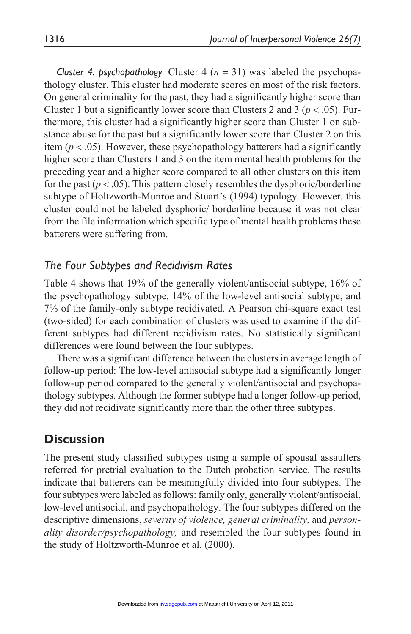*Cluster 4: psychopathology.* Cluster  $4(n = 31)$  was labeled the psychopathology cluster. This cluster had moderate scores on most of the risk factors. On general criminality for the past, they had a significantly higher score than Cluster 1 but a significantly lower score than Clusters 2 and 3 ( $p < .05$ ). Furthermore, this cluster had a significantly higher score than Cluster 1 on substance abuse for the past but a significantly lower score than Cluster 2 on this item  $(p < .05)$ . However, these psychopathology batterers had a significantly higher score than Clusters 1 and 3 on the item mental health problems for the preceding year and a higher score compared to all other clusters on this item for the past  $(p < .05)$ . This pattern closely resembles the dysphoric/borderline subtype of Holtzworth-Munroe and Stuart's (1994) typology. However, this cluster could not be labeled dysphoric/ borderline because it was not clear from the file information which specific type of mental health problems these batterers were suffering from.

## *The Four Subtypes and Recidivism Rates*

Table 4 shows that 19% of the generally violent/antisocial subtype, 16% of the psychopathology subtype, 14% of the low-level antisocial subtype, and 7% of the family-only subtype recidivated. A Pearson chi-square exact test (two-sided) for each combination of clusters was used to examine if the different subtypes had different recidivism rates. No statistically significant differences were found between the four subtypes.

There was a significant difference between the clusters in average length of follow-up period: The low-level antisocial subtype had a significantly longer follow-up period compared to the generally violent/antisocial and psychopathology subtypes. Although the former subtype had a longer follow-up period, they did not recidivate significantly more than the other three subtypes.

# **Discussion**

The present study classified subtypes using a sample of spousal assaulters referred for pretrial evaluation to the Dutch probation service. The results indicate that batterers can be meaningfully divided into four subtypes. The four subtypes were labeled as follows: family only, generally violent/antisocial, low-level antisocial, and psychopathology. The four subtypes differed on the descriptive dimensions, *severity of violence, general criminality,* and *personality disorder/psychopathology,* and resembled the four subtypes found in the study of Holtzworth-Munroe et al. (2000).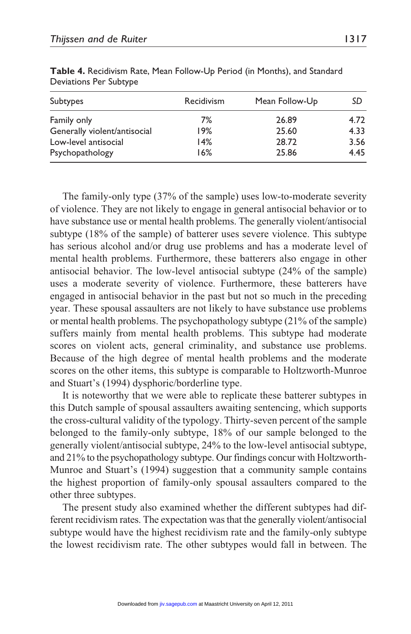| Subtypes                     | Recidivism | Mean Follow-Up | SD   |
|------------------------------|------------|----------------|------|
| Family only                  | 7%         | 26.89          | 4.72 |
| Generally violent/antisocial | 19%        | 25.60          | 4.33 |
| Low-level antisocial         | 14%        | 28.72          | 3.56 |
| Psychopathology              | 16%        | 25.86          | 4.45 |

**Table 4.** Recidivism Rate, Mean Follow-Up Period (in Months), and Standard Deviations Per Subtype

The family-only type (37% of the sample) uses low-to-moderate severity of violence. They are not likely to engage in general antisocial behavior or to have substance use or mental health problems. The generally violent/antisocial subtype (18% of the sample) of batterer uses severe violence. This subtype has serious alcohol and/or drug use problems and has a moderate level of mental health problems. Furthermore, these batterers also engage in other antisocial behavior. The low-level antisocial subtype (24% of the sample) uses a moderate severity of violence. Furthermore, these batterers have engaged in antisocial behavior in the past but not so much in the preceding year. These spousal assaulters are not likely to have substance use problems or mental health problems. The psychopathology subtype (21% of the sample) suffers mainly from mental health problems. This subtype had moderate scores on violent acts, general criminality, and substance use problems. Because of the high degree of mental health problems and the moderate scores on the other items, this subtype is comparable to Holtzworth-Munroe and Stuart's (1994) dysphoric/borderline type.

It is noteworthy that we were able to replicate these batterer subtypes in this Dutch sample of spousal assaulters awaiting sentencing, which supports the cross-cultural validity of the typology. Thirty-seven percent of the sample belonged to the family-only subtype, 18% of our sample belonged to the generally violent/antisocial subtype, 24% to the low-level antisocial subtype, and 21% to the psychopathology subtype. Our findings concur with Holtzworth-Munroe and Stuart's (1994) suggestion that a community sample contains the highest proportion of family-only spousal assaulters compared to the other three subtypes.

The present study also examined whether the different subtypes had different recidivism rates. The expectation was that the generally violent/antisocial subtype would have the highest recidivism rate and the family-only subtype the lowest recidivism rate. The other subtypes would fall in between. The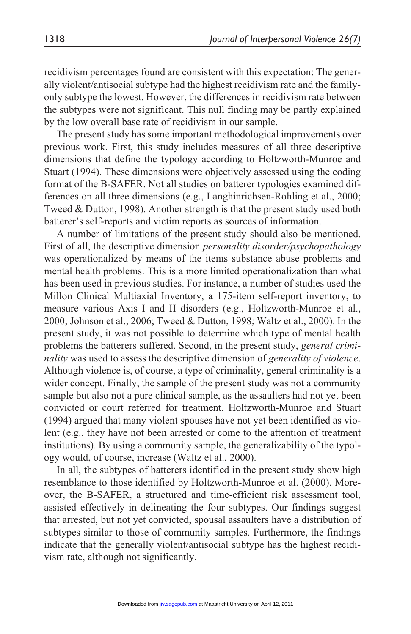recidivism percentages found are consistent with this expectation: The generally violent/antisocial subtype had the highest recidivism rate and the familyonly subtype the lowest. However, the differences in recidivism rate between the subtypes were not significant. This null finding may be partly explained by the low overall base rate of recidivism in our sample.

The present study has some important methodological improvements over previous work. First, this study includes measures of all three descriptive dimensions that define the typology according to Holtzworth-Munroe and Stuart (1994). These dimensions were objectively assessed using the coding format of the B-SAFER. Not all studies on batterer typologies examined differences on all three dimensions (e.g., Langhinrichsen-Rohling et al., 2000; Tweed & Dutton, 1998). Another strength is that the present study used both batterer's self-reports and victim reports as sources of information.

A number of limitations of the present study should also be mentioned. First of all, the descriptive dimension *personality disorder/psychopathology* was operationalized by means of the items substance abuse problems and mental health problems. This is a more limited operationalization than what has been used in previous studies. For instance, a number of studies used the Millon Clinical Multiaxial Inventory, a 175-item self-report inventory, to measure various Axis I and II disorders (e.g., Holtzworth-Munroe et al., 2000; Johnson et al., 2006; Tweed & Dutton, 1998; Waltz et al., 2000). In the present study, it was not possible to determine which type of mental health problems the batterers suffered. Second, in the present study, *general criminality* was used to assess the descriptive dimension of *generality of violence*. Although violence is, of course, a type of criminality, general criminality is a wider concept. Finally, the sample of the present study was not a community sample but also not a pure clinical sample, as the assaulters had not yet been convicted or court referred for treatment. Holtzworth-Munroe and Stuart (1994) argued that many violent spouses have not yet been identified as violent (e.g., they have not been arrested or come to the attention of treatment institutions). By using a community sample, the generalizability of the typology would, of course, increase (Waltz et al., 2000).

In all, the subtypes of batterers identified in the present study show high resemblance to those identified by Holtzworth-Munroe et al. (2000). Moreover, the B-SAFER, a structured and time-efficient risk assessment tool, assisted effectively in delineating the four subtypes. Our findings suggest that arrested, but not yet convicted, spousal assaulters have a distribution of subtypes similar to those of community samples. Furthermore, the findings indicate that the generally violent/antisocial subtype has the highest recidivism rate, although not significantly.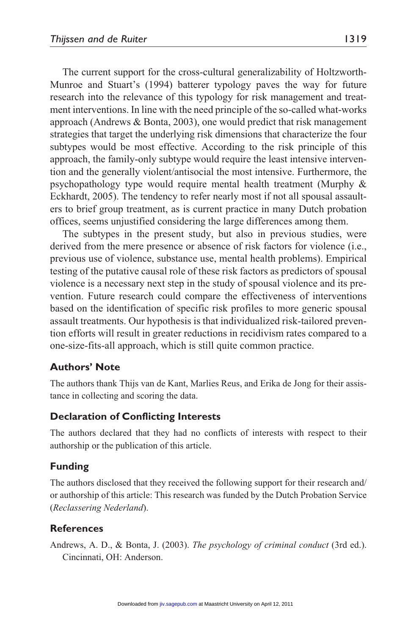The current support for the cross-cultural generalizability of Holtzworth-Munroe and Stuart's (1994) batterer typology paves the way for future research into the relevance of this typology for risk management and treatment interventions. In line with the need principle of the so-called what-works approach (Andrews & Bonta, 2003), one would predict that risk management strategies that target the underlying risk dimensions that characterize the four subtypes would be most effective. According to the risk principle of this approach, the family-only subtype would require the least intensive intervention and the generally violent/antisocial the most intensive. Furthermore, the psychopathology type would require mental health treatment (Murphy & Eckhardt, 2005). The tendency to refer nearly most if not all spousal assaulters to brief group treatment, as is current practice in many Dutch probation offices, seems unjustified considering the large differences among them.

The subtypes in the present study, but also in previous studies, were derived from the mere presence or absence of risk factors for violence (i.e., previous use of violence, substance use, mental health problems). Empirical testing of the putative causal role of these risk factors as predictors of spousal violence is a necessary next step in the study of spousal violence and its prevention. Future research could compare the effectiveness of interventions based on the identification of specific risk profiles to more generic spousal assault treatments. Our hypothesis is that individualized risk-tailored prevention efforts will result in greater reductions in recidivism rates compared to a one-size-fits-all approach, which is still quite common practice.

### **Authors' Note**

The authors thank Thijs van de Kant, Marlies Reus, and Erika de Jong for their assistance in collecting and scoring the data.

## **Declaration of Conflicting Interests**

The authors declared that they had no conflicts of interests with respect to their authorship or the publication of this article.

### **Funding**

The authors disclosed that they received the following support for their research and/ or authorship of this article: This research was funded by the Dutch Probation Service (*Reclassering Nederland*).

### **References**

Andrews, A. D., & Bonta, J. (2003). *The psychology of criminal conduct* (3rd ed.). Cincinnati, OH: Anderson.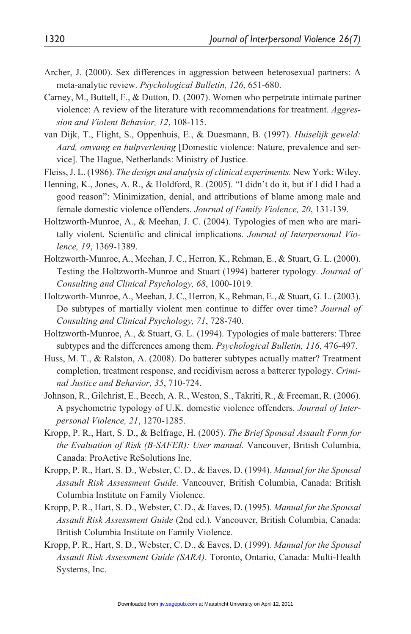- Archer, J. (2000). Sex differences in aggression between heterosexual partners: A meta-analytic review. *Psychological Bulletin, 126*, 651-680.
- Carney, M., Buttell, F., & Dutton, D. (2007). Women who perpetrate intimate partner violence: A review of the literature with recommendations for treatment. *Aggression and Violent Behavior, 12*, 108-115.
- van Dijk, T., Flight, S., Oppenhuis, E., & Duesmann, B. (1997). *Huiselijk geweld: Aard, omvang en hulpverlening* [Domestic violence: Nature, prevalence and service]. The Hague, Netherlands: Ministry of Justice.
- Fleiss, J. L. (1986). *The design and analysis of clinical experiments.* New York: Wiley.
- Henning, K., Jones, A. R., & Holdford, R. (2005). "I didn't do it, but if I did I had a good reason": Minimization, denial, and attributions of blame among male and female domestic violence offenders. *Journal of Family Violence, 20*, 131-139.
- Holtzworth-Munroe, A., & Meehan, J. C. (2004). Typologies of men who are maritally violent. Scientific and clinical implications. *Journal of Interpersonal Violence, 19*, 1369-1389.
- Holtzworth-Munroe, A., Meehan, J. C., Herron, K., Rehman, E., & Stuart, G. L. (2000). Testing the Holtzworth-Munroe and Stuart (1994) batterer typology. *Journal of Consulting and Clinical Psychology, 68*, 1000-1019.
- Holtzworth-Munroe, A., Meehan, J. C., Herron, K., Rehman, E., & Stuart, G. L. (2003). Do subtypes of martially violent men continue to differ over time? *Journal of Consulting and Clinical Psychology, 71*, 728-740.
- Holtzworth-Munroe, A., & Stuart, G. L. (1994). Typologies of male batterers: Three subtypes and the differences among them. *Psychological Bulletin, 116*, 476-497.
- Huss, M. T., & Ralston, A. (2008). Do batterer subtypes actually matter? Treatment completion, treatment response, and recidivism across a batterer typology. *Criminal Justice and Behavior, 35*, 710-724.
- Johnson, R., Gilchrist, E., Beech, A. R., Weston, S., Takriti, R., & Freeman, R. (2006). A psychometric typology of U.K. domestic violence offenders. *Journal of Interpersonal Violence, 21*, 1270-1285.
- Kropp, P. R., Hart, S. D., & Belfrage, H. (2005). *The Brief Spousal Assault Form for the Evaluation of Risk (B-SAFER): User manual.* Vancouver, British Columbia, Canada: ProActive ReSolutions Inc.
- Kropp, P. R., Hart, S. D., Webster, C. D., & Eaves, D. (1994). *Manual for the Spousal Assault Risk Assessment Guide.* Vancouver, British Columbia, Canada: British Columbia Institute on Family Violence.
- Kropp, P. R., Hart, S. D., Webster, C. D., & Eaves, D. (1995). *Manual for the Spousal Assault Risk Assessment Guide* (2nd ed.). Vancouver, British Columbia, Canada: British Columbia Institute on Family Violence.
- Kropp, P. R., Hart, S. D., Webster, C. D., & Eaves, D. (1999). *Manual for the Spousal Assault Risk Assessment Guide (SARA)*. Toronto, Ontario, Canada: Multi-Health Systems, Inc.